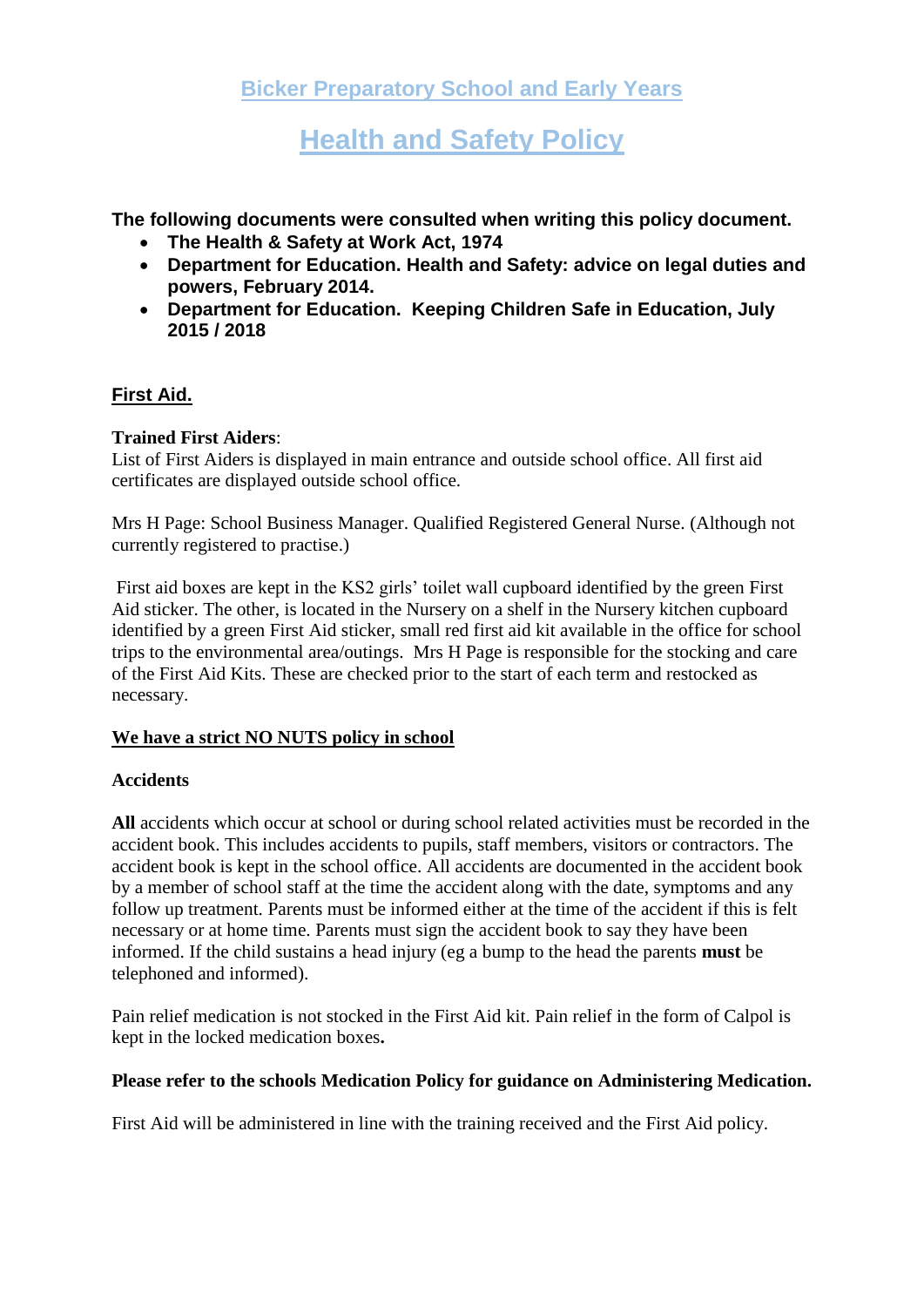**Health and Safety Policy**

**The following documents were consulted when writing this policy document.**

- **The Health & Safety at Work Act, 1974**
- **Department for Education. Health and Safety: advice on legal duties and powers, February 2014.**
- **Department for Education. Keeping Children Safe in Education, July 2015 / 2018**

# **First Aid.**

## **Trained First Aiders**:

List of First Aiders is displayed in main entrance and outside school office. All first aid certificates are displayed outside school office.

Mrs H Page: School Business Manager. Qualified Registered General Nurse. (Although not currently registered to practise.)

First aid boxes are kept in the KS2 girls' toilet wall cupboard identified by the green First Aid sticker. The other, is located in the Nursery on a shelf in the Nursery kitchen cupboard identified by a green First Aid sticker, small red first aid kit available in the office for school trips to the environmental area/outings. Mrs H Page is responsible for the stocking and care of the First Aid Kits. These are checked prior to the start of each term and restocked as necessary.

## **We have a strict NO NUTS policy in school**

## **Accidents**

**All** accidents which occur at school or during school related activities must be recorded in the accident book. This includes accidents to pupils, staff members, visitors or contractors. The accident book is kept in the school office. All accidents are documented in the accident book by a member of school staff at the time the accident along with the date, symptoms and any follow up treatment. Parents must be informed either at the time of the accident if this is felt necessary or at home time. Parents must sign the accident book to say they have been informed. If the child sustains a head injury (eg a bump to the head the parents **must** be telephoned and informed).

Pain relief medication is not stocked in the First Aid kit. Pain relief in the form of Calpol is kept in the locked medication boxes**.** 

## **Please refer to the schools Medication Policy for guidance on Administering Medication.**

First Aid will be administered in line with the training received and the First Aid policy.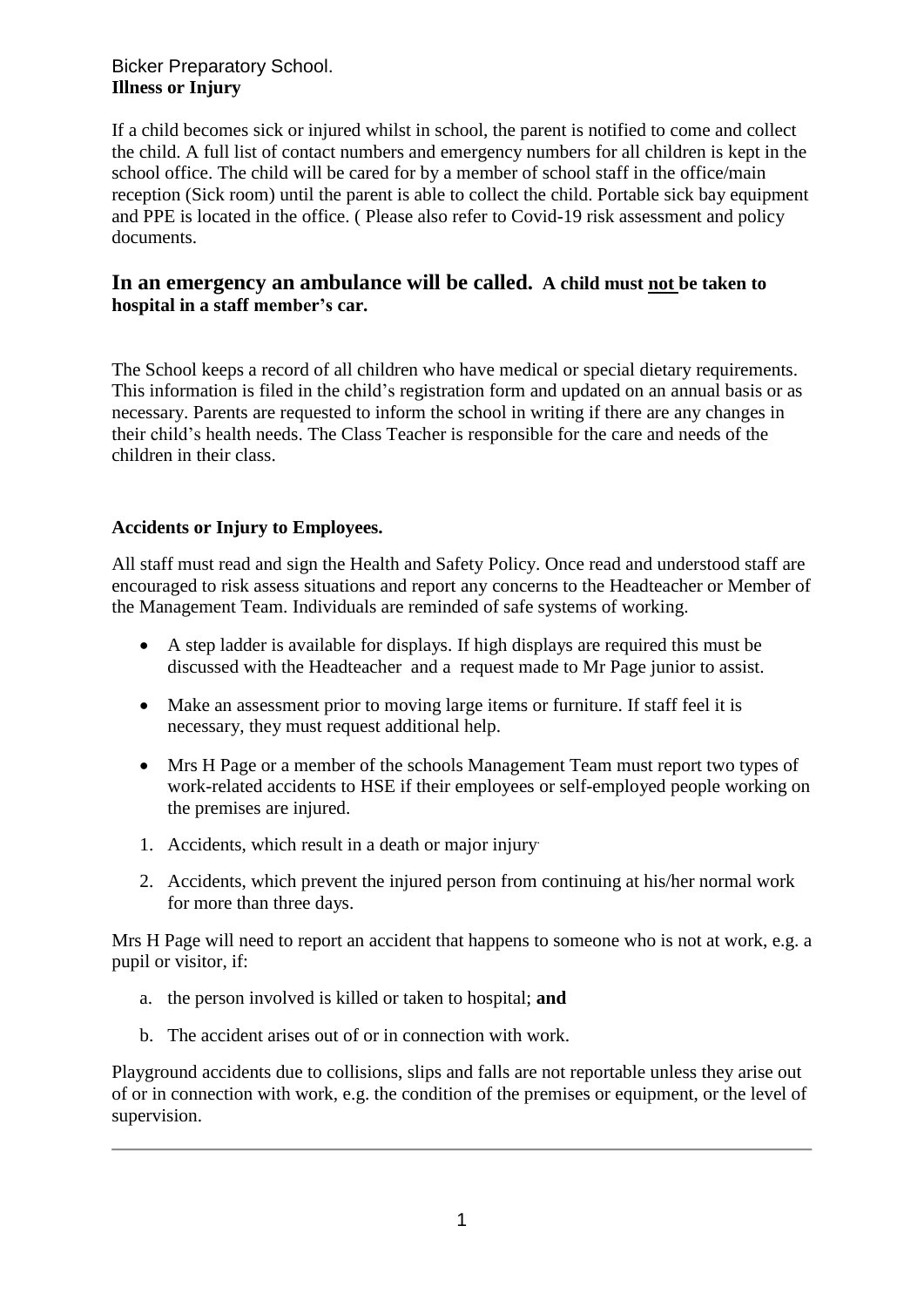## Bicker Preparatory School. **Illness or Injury**

If a child becomes sick or injured whilst in school, the parent is notified to come and collect the child. A full list of contact numbers and emergency numbers for all children is kept in the school office. The child will be cared for by a member of school staff in the office/main reception (Sick room) until the parent is able to collect the child. Portable sick bay equipment and PPE is located in the office. ( Please also refer to Covid-19 risk assessment and policy documents.

## **In an emergency an ambulance will be called. A child must not be taken to hospital in a staff member's car.**

The School keeps a record of all children who have medical or special dietary requirements. This information is filed in the child's registration form and updated on an annual basis or as necessary. Parents are requested to inform the school in writing if there are any changes in their child's health needs. The Class Teacher is responsible for the care and needs of the children in their class.

## **Accidents or Injury to Employees.**

All staff must read and sign the Health and Safety Policy. Once read and understood staff are encouraged to risk assess situations and report any concerns to the Headteacher or Member of the Management Team. Individuals are reminded of safe systems of working.

- A step ladder is available for displays. If high displays are required this must be discussed with the Headteacher and a request made to Mr Page junior to assist.
- Make an assessment prior to moving large items or furniture. If staff feel it is necessary, they must request additional help.
- Mrs H Page or a member of the schools Management Team must report two types of work-related accidents to HSE if their employees or self-employed people working on the premises are injured.
- 1. Accidents, which result in a death or major injury.
- 2. Accidents, which prevent the injured person from continuing at his/her normal work for more than three days.

Mrs H Page will need to report an accident that happens to someone who is not at work, e.g. a pupil or visitor, if:

- a. the person involved is killed or taken to hospital; **and**
- b. The accident arises out of or in connection with work.

Playground accidents due to collisions, slips and falls are not reportable unless they arise out of or in connection with work, e.g. the condition of the premises or equipment, or the level of supervision.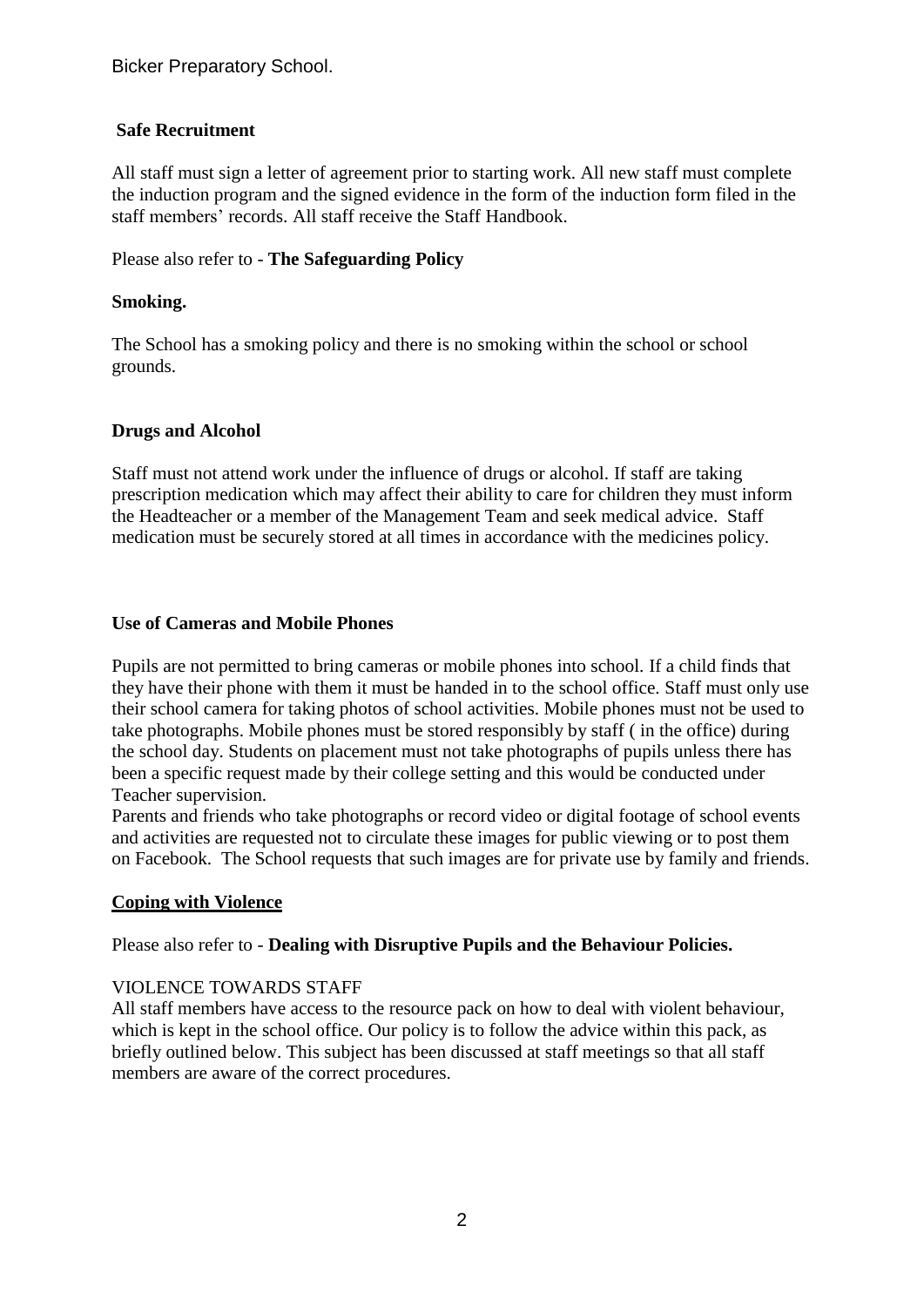#### **Safe Recruitment**

All staff must sign a letter of agreement prior to starting work. All new staff must complete the induction program and the signed evidence in the form of the induction form filed in the staff members' records. All staff receive the Staff Handbook.

#### Please also refer to - **The Safeguarding Policy**

#### **Smoking.**

The School has a smoking policy and there is no smoking within the school or school grounds.

#### **Drugs and Alcohol**

Staff must not attend work under the influence of drugs or alcohol. If staff are taking prescription medication which may affect their ability to care for children they must inform the Headteacher or a member of the Management Team and seek medical advice. Staff medication must be securely stored at all times in accordance with the medicines policy.

#### **Use of Cameras and Mobile Phones**

Pupils are not permitted to bring cameras or mobile phones into school. If a child finds that they have their phone with them it must be handed in to the school office. Staff must only use their school camera for taking photos of school activities. Mobile phones must not be used to take photographs. Mobile phones must be stored responsibly by staff ( in the office) during the school day. Students on placement must not take photographs of pupils unless there has been a specific request made by their college setting and this would be conducted under Teacher supervision.

Parents and friends who take photographs or record video or digital footage of school events and activities are requested not to circulate these images for public viewing or to post them on Facebook. The School requests that such images are for private use by family and friends.

## **Coping with Violence**

## Please also refer to - **Dealing with Disruptive Pupils and the Behaviour Policies.**

#### VIOLENCE TOWARDS STAFF

All staff members have access to the resource pack on how to deal with violent behaviour, which is kept in the school office. Our policy is to follow the advice within this pack, as briefly outlined below. This subject has been discussed at staff meetings so that all staff members are aware of the correct procedures.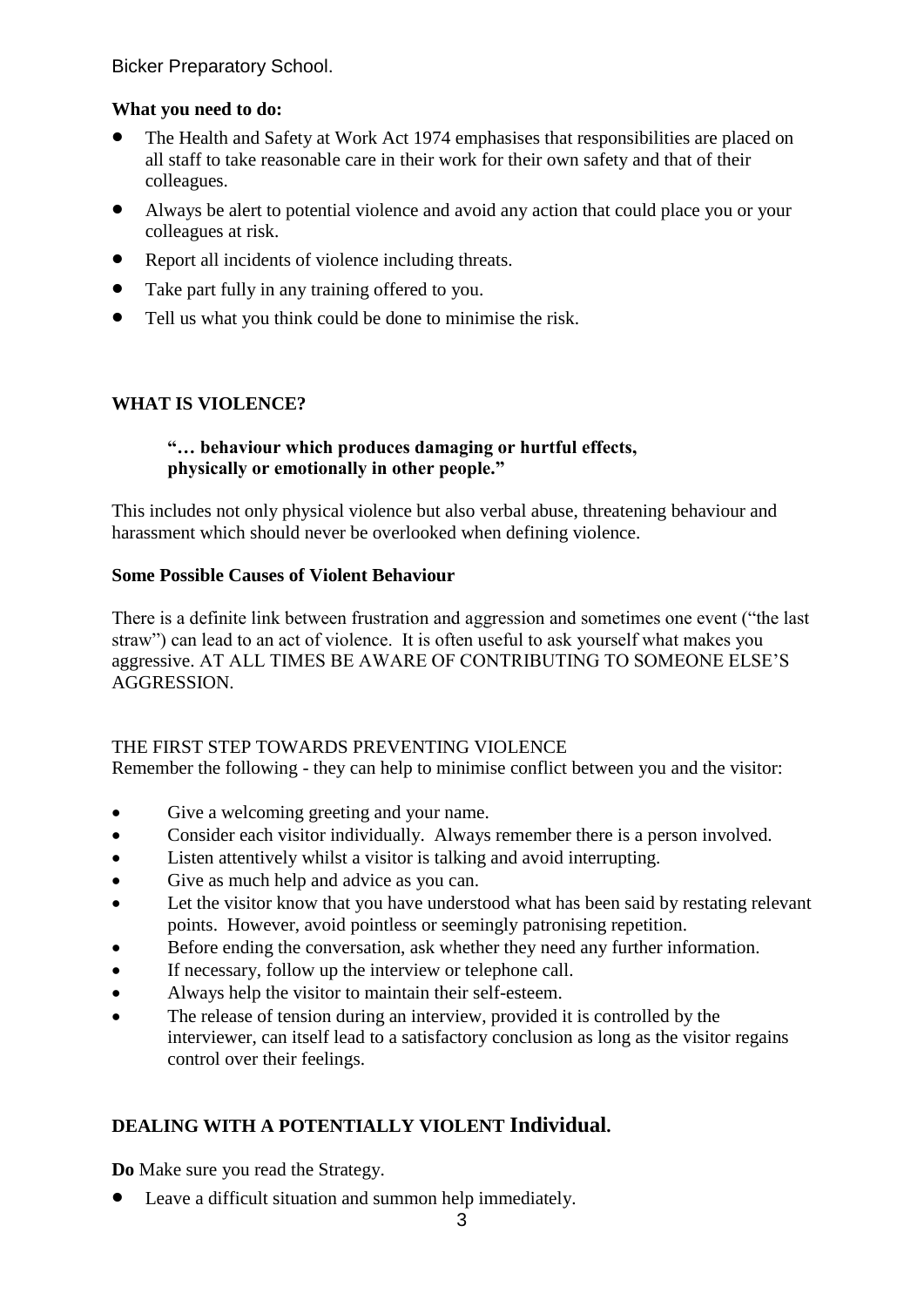## **What you need to do:**

- The Health and Safety at Work Act 1974 emphasises that responsibilities are placed on all staff to take reasonable care in their work for their own safety and that of their colleagues.
- Always be alert to potential violence and avoid any action that could place you or your colleagues at risk.
- Report all incidents of violence including threats.
- Take part fully in any training offered to you.
- Tell us what you think could be done to minimise the risk.

# **WHAT IS VIOLENCE?**

## **"… behaviour which produces damaging or hurtful effects, physically or emotionally in other people."**

This includes not only physical violence but also verbal abuse, threatening behaviour and harassment which should never be overlooked when defining violence.

## **Some Possible Causes of Violent Behaviour**

There is a definite link between frustration and aggression and sometimes one event ("the last straw") can lead to an act of violence. It is often useful to ask yourself what makes you aggressive. AT ALL TIMES BE AWARE OF CONTRIBUTING TO SOMEONE ELSE'S AGGRESSION.

## THE FIRST STEP TOWARDS PREVENTING VIOLENCE

Remember the following - they can help to minimise conflict between you and the visitor:

- Give a welcoming greeting and your name.
- Consider each visitor individually. Always remember there is a person involved.
- Listen attentively whilst a visitor is talking and avoid interrupting.
- Give as much help and advice as you can.
- Let the visitor know that you have understood what has been said by restating relevant points. However, avoid pointless or seemingly patronising repetition.
- Before ending the conversation, ask whether they need any further information.
- If necessary, follow up the interview or telephone call.
- Always help the visitor to maintain their self-esteem.
- The release of tension during an interview, provided it is controlled by the interviewer, can itself lead to a satisfactory conclusion as long as the visitor regains control over their feelings.

# **DEALING WITH A POTENTIALLY VIOLENT Individual.**

**Do** Make sure you read the Strategy.

• Leave a difficult situation and summon help immediately.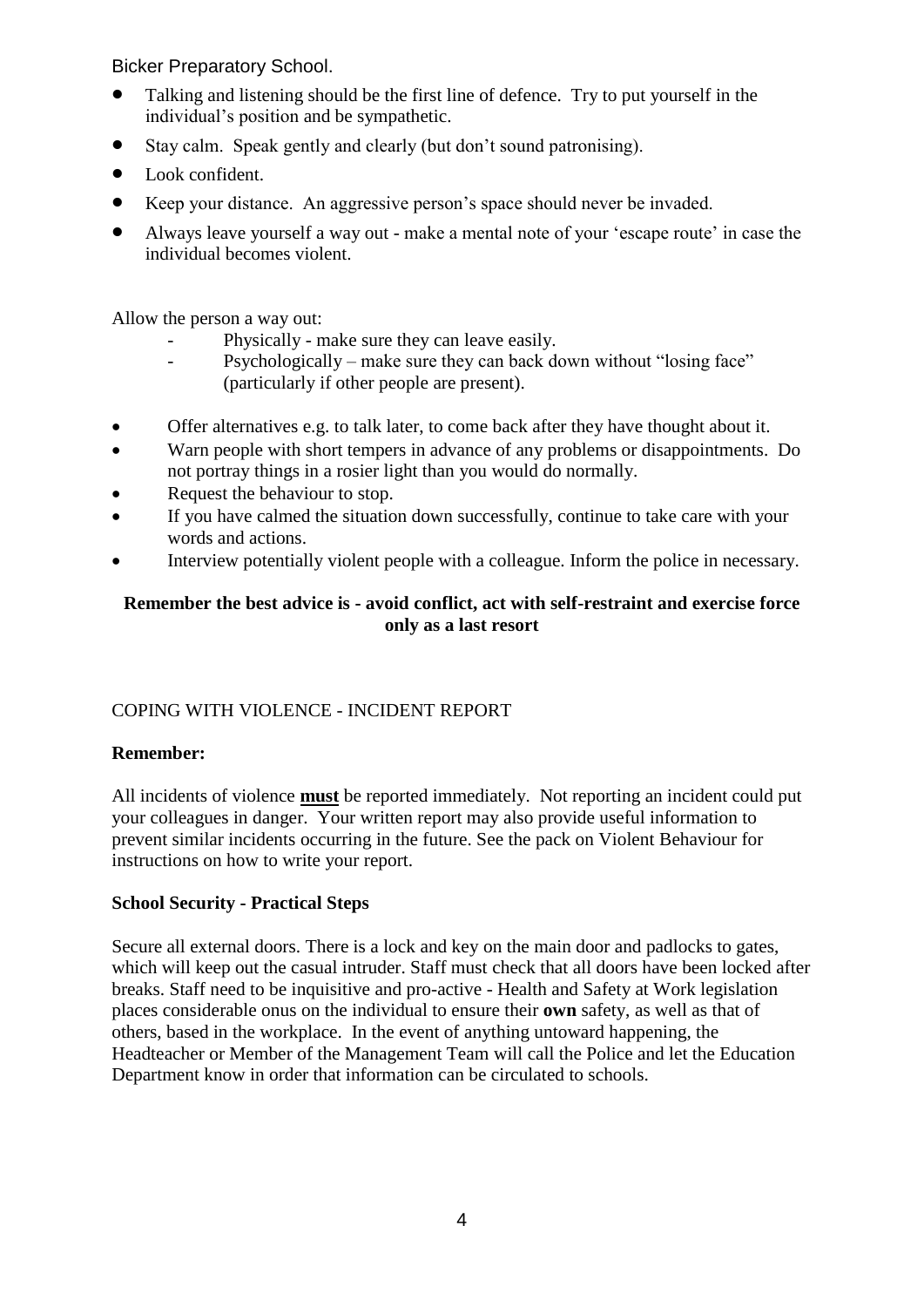- Talking and listening should be the first line of defence. Try to put yourself in the individual's position and be sympathetic.
- Stay calm. Speak gently and clearly (but don't sound patronising).
- Look confident.
- Keep your distance. An aggressive person's space should never be invaded.
- Always leave yourself a way out make a mental note of your 'escape route' in case the individual becomes violent.

Allow the person a way out:

- Physically make sure they can leave easily.
- Psychologically make sure they can back down without "losing face" (particularly if other people are present).
- Offer alternatives e.g. to talk later, to come back after they have thought about it.
- Warn people with short tempers in advance of any problems or disappointments. Do not portray things in a rosier light than you would do normally.
- Request the behaviour to stop.
- If you have calmed the situation down successfully, continue to take care with your words and actions.
- Interview potentially violent people with a colleague. Inform the police in necessary.

## **Remember the best advice is - avoid conflict, act with self-restraint and exercise force only as a last resort**

# COPING WITH VIOLENCE - INCIDENT REPORT

# **Remember:**

All incidents of violence **must** be reported immediately. Not reporting an incident could put your colleagues in danger. Your written report may also provide useful information to prevent similar incidents occurring in the future. See the pack on Violent Behaviour for instructions on how to write your report.

# **School Security - Practical Steps**

Secure all external doors. There is a lock and key on the main door and padlocks to gates, which will keep out the casual intruder. Staff must check that all doors have been locked after breaks. Staff need to be inquisitive and pro-active - Health and Safety at Work legislation places considerable onus on the individual to ensure their **own** safety, as well as that of others, based in the workplace. In the event of anything untoward happening, the Headteacher or Member of the Management Team will call the Police and let the Education Department know in order that information can be circulated to schools.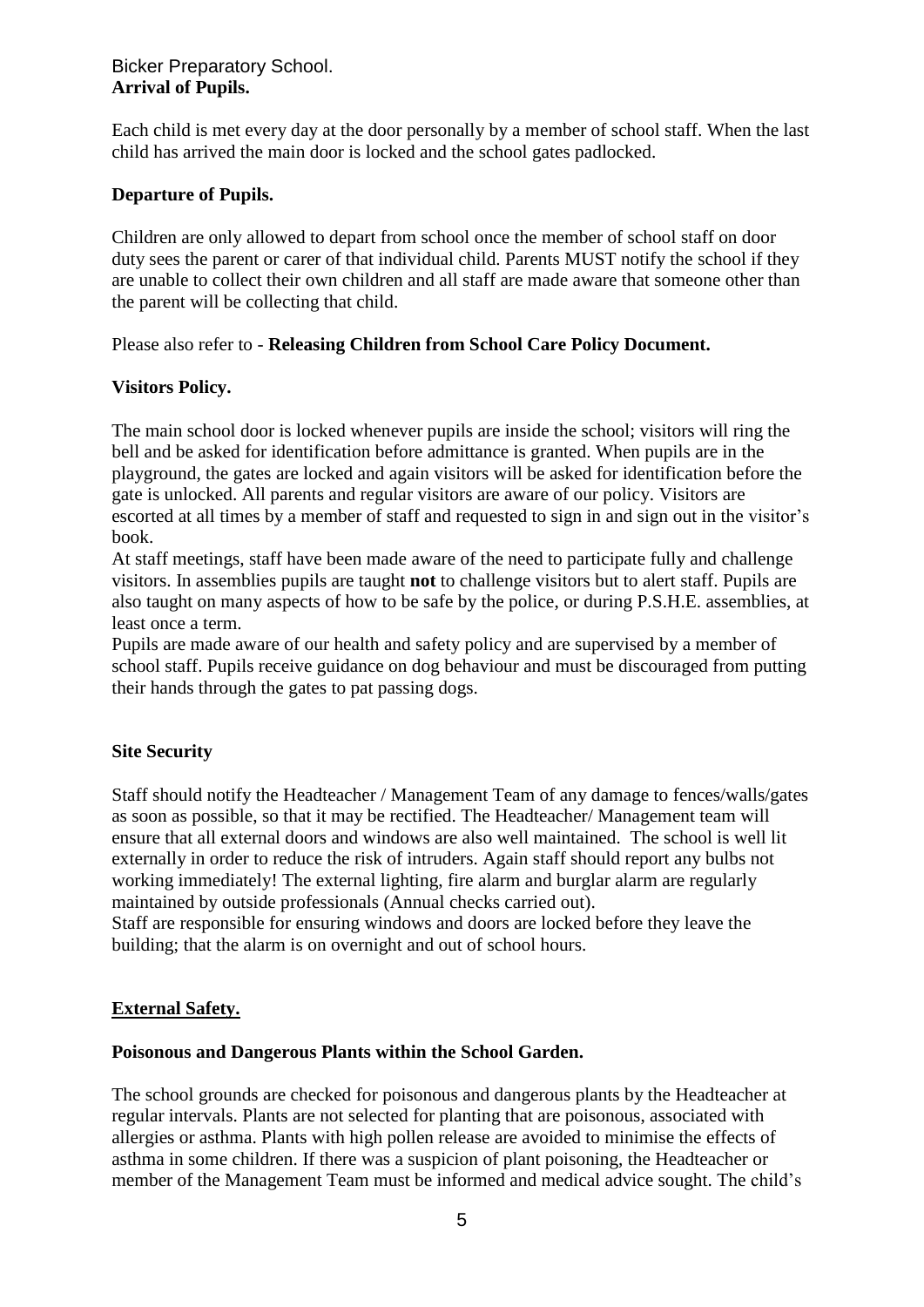## Bicker Preparatory School. **Arrival of Pupils.**

Each child is met every day at the door personally by a member of school staff. When the last child has arrived the main door is locked and the school gates padlocked.

## **Departure of Pupils.**

Children are only allowed to depart from school once the member of school staff on door duty sees the parent or carer of that individual child. Parents MUST notify the school if they are unable to collect their own children and all staff are made aware that someone other than the parent will be collecting that child.

## Please also refer to - **Releasing Children from School Care Policy Document.**

## **Visitors Policy.**

The main school door is locked whenever pupils are inside the school; visitors will ring the bell and be asked for identification before admittance is granted. When pupils are in the playground, the gates are locked and again visitors will be asked for identification before the gate is unlocked. All parents and regular visitors are aware of our policy. Visitors are escorted at all times by a member of staff and requested to sign in and sign out in the visitor's book.

At staff meetings, staff have been made aware of the need to participate fully and challenge visitors. In assemblies pupils are taught **not** to challenge visitors but to alert staff. Pupils are also taught on many aspects of how to be safe by the police, or during P.S.H.E. assemblies, at least once a term.

Pupils are made aware of our health and safety policy and are supervised by a member of school staff. Pupils receive guidance on dog behaviour and must be discouraged from putting their hands through the gates to pat passing dogs.

## **Site Security**

Staff should notify the Headteacher / Management Team of any damage to fences/walls/gates as soon as possible, so that it may be rectified. The Headteacher/ Management team will ensure that all external doors and windows are also well maintained. The school is well lit externally in order to reduce the risk of intruders. Again staff should report any bulbs not working immediately! The external lighting, fire alarm and burglar alarm are regularly maintained by outside professionals (Annual checks carried out).

Staff are responsible for ensuring windows and doors are locked before they leave the building; that the alarm is on overnight and out of school hours.

## **External Safety.**

#### **Poisonous and Dangerous Plants within the School Garden.**

The school grounds are checked for poisonous and dangerous plants by the Headteacher at regular intervals. Plants are not selected for planting that are poisonous, associated with allergies or asthma. Plants with high pollen release are avoided to minimise the effects of asthma in some children. If there was a suspicion of plant poisoning, the Headteacher or member of the Management Team must be informed and medical advice sought. The child's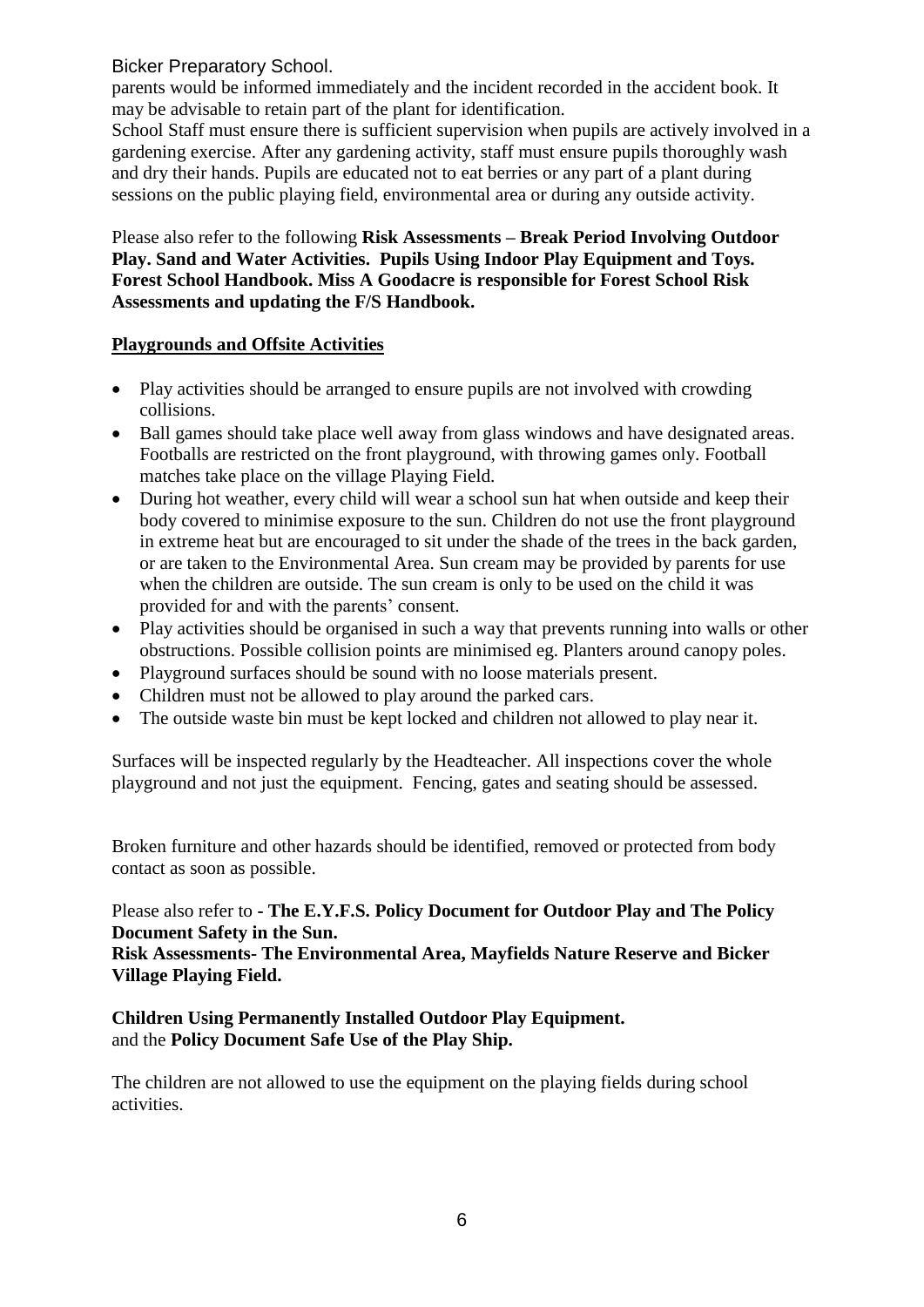parents would be informed immediately and the incident recorded in the accident book. It may be advisable to retain part of the plant for identification.

School Staff must ensure there is sufficient supervision when pupils are actively involved in a gardening exercise. After any gardening activity, staff must ensure pupils thoroughly wash and dry their hands. Pupils are educated not to eat berries or any part of a plant during sessions on the public playing field, environmental area or during any outside activity.

Please also refer to the following **Risk Assessments – Break Period Involving Outdoor Play. Sand and Water Activities. Pupils Using Indoor Play Equipment and Toys. Forest School Handbook. Miss A Goodacre is responsible for Forest School Risk Assessments and updating the F/S Handbook.**

## **Playgrounds and Offsite Activities**

- Play activities should be arranged to ensure pupils are not involved with crowding collisions.
- Ball games should take place well away from glass windows and have designated areas. Footballs are restricted on the front playground, with throwing games only. Football matches take place on the village Playing Field.
- During hot weather, every child will wear a school sun hat when outside and keep their body covered to minimise exposure to the sun. Children do not use the front playground in extreme heat but are encouraged to sit under the shade of the trees in the back garden, or are taken to the Environmental Area. Sun cream may be provided by parents for use when the children are outside. The sun cream is only to be used on the child it was provided for and with the parents' consent.
- Play activities should be organised in such a way that prevents running into walls or other obstructions. Possible collision points are minimised eg. Planters around canopy poles.
- Playeround surfaces should be sound with no loose materials present.
- Children must not be allowed to play around the parked cars.
- The outside waste bin must be kept locked and children not allowed to play near it.

Surfaces will be inspected regularly by the Headteacher. All inspections cover the whole playground and not just the equipment. Fencing, gates and seating should be assessed.

Broken furniture and other hazards should be identified, removed or protected from body contact as soon as possible.

## Please also refer to **- The E.Y.F.S. Policy Document for Outdoor Play and The Policy Document Safety in the Sun.**

## **Risk Assessments- The Environmental Area, Mayfields Nature Reserve and Bicker Village Playing Field.**

## **Children Using Permanently Installed Outdoor Play Equipment.** and the **Policy Document Safe Use of the Play Ship.**

The children are not allowed to use the equipment on the playing fields during school activities.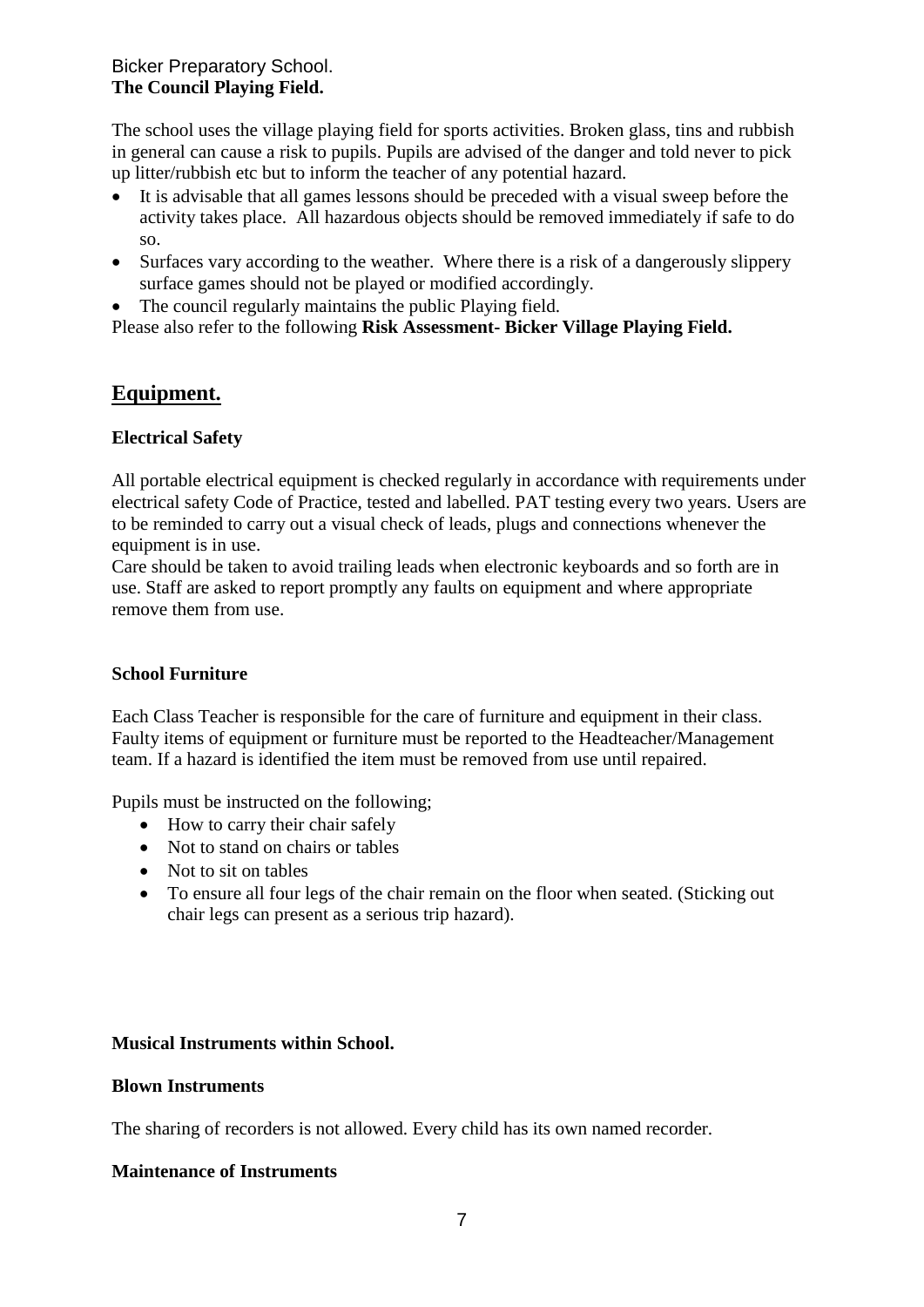## Bicker Preparatory School. **The Council Playing Field.**

The school uses the village playing field for sports activities. Broken glass, tins and rubbish in general can cause a risk to pupils. Pupils are advised of the danger and told never to pick up litter/rubbish etc but to inform the teacher of any potential hazard.

- It is advisable that all games lessons should be preceded with a visual sweep before the activity takes place. All hazardous objects should be removed immediately if safe to do so.
- Surfaces vary according to the weather. Where there is a risk of a dangerously slippery surface games should not be played or modified accordingly.
- The council regularly maintains the public Playing field.

Please also refer to the following **Risk Assessment- Bicker Village Playing Field.**

# **Equipment.**

## **Electrical Safety**

All portable electrical equipment is checked regularly in accordance with requirements under electrical safety Code of Practice, tested and labelled. PAT testing every two years. Users are to be reminded to carry out a visual check of leads, plugs and connections whenever the equipment is in use.

Care should be taken to avoid trailing leads when electronic keyboards and so forth are in use. Staff are asked to report promptly any faults on equipment and where appropriate remove them from use.

## **School Furniture**

Each Class Teacher is responsible for the care of furniture and equipment in their class. Faulty items of equipment or furniture must be reported to the Headteacher/Management team. If a hazard is identified the item must be removed from use until repaired.

Pupils must be instructed on the following;

- How to carry their chair safely
- Not to stand on chairs or tables
- Not to sit on tables
- To ensure all four legs of the chair remain on the floor when seated. (Sticking out chair legs can present as a serious trip hazard).

## **Musical Instruments within School.**

## **Blown Instruments**

The sharing of recorders is not allowed. Every child has its own named recorder.

## **Maintenance of Instruments**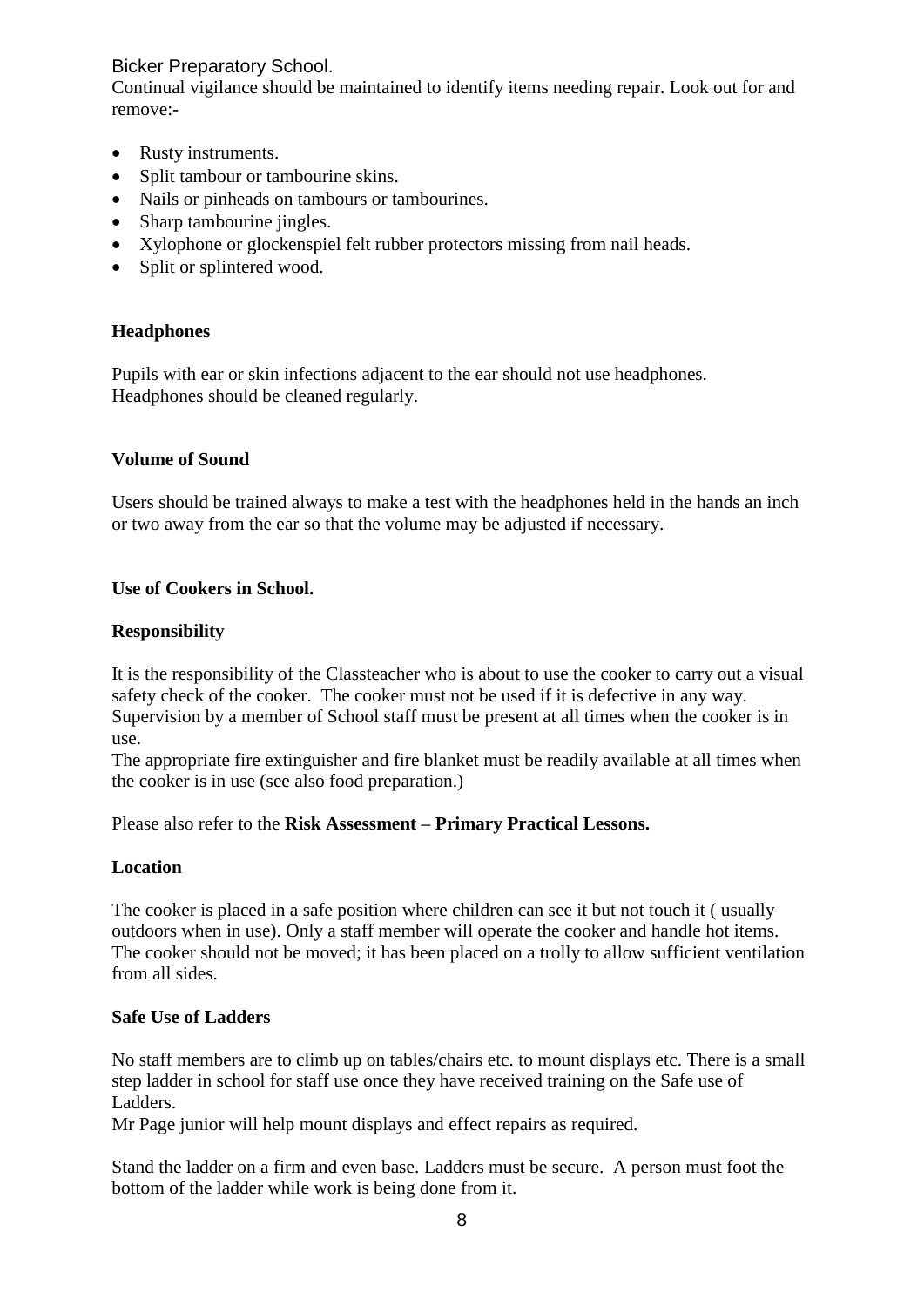Continual vigilance should be maintained to identify items needing repair. Look out for and remove:-

- Rusty instruments.
- Split tambour or tambourine skins.
- Nails or pinheads on tambours or tambourines.
- Sharp tambourine jingles.
- Xylophone or glockenspiel felt rubber protectors missing from nail heads.
- Split or splintered wood.

## **Headphones**

Pupils with ear or skin infections adjacent to the ear should not use headphones. Headphones should be cleaned regularly.

## **Volume of Sound**

Users should be trained always to make a test with the headphones held in the hands an inch or two away from the ear so that the volume may be adjusted if necessary.

## **Use of Cookers in School.**

## **Responsibility**

It is the responsibility of the Classteacher who is about to use the cooker to carry out a visual safety check of the cooker. The cooker must not be used if it is defective in any way. Supervision by a member of School staff must be present at all times when the cooker is in use.

The appropriate fire extinguisher and fire blanket must be readily available at all times when the cooker is in use (see also food preparation.)

Please also refer to the **Risk Assessment – Primary Practical Lessons.**

## **Location**

The cooker is placed in a safe position where children can see it but not touch it ( usually outdoors when in use). Only a staff member will operate the cooker and handle hot items. The cooker should not be moved; it has been placed on a trolly to allow sufficient ventilation from all sides.

## **Safe Use of Ladders**

No staff members are to climb up on tables/chairs etc. to mount displays etc. There is a small step ladder in school for staff use once they have received training on the Safe use of Ladders.

Mr Page junior will help mount displays and effect repairs as required.

Stand the ladder on a firm and even base. Ladders must be secure. A person must foot the bottom of the ladder while work is being done from it.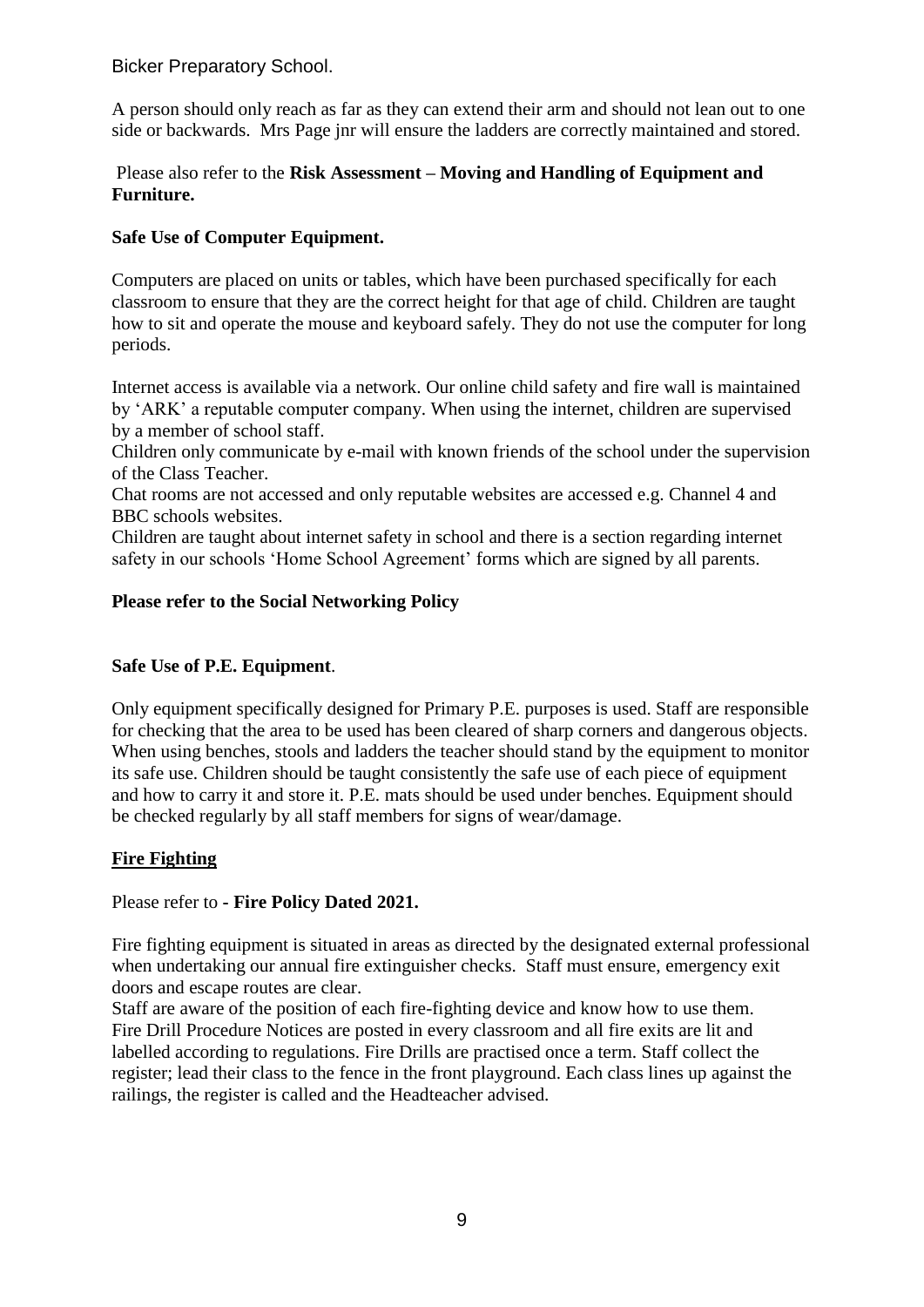A person should only reach as far as they can extend their arm and should not lean out to one side or backwards. Mrs Page jnr will ensure the ladders are correctly maintained and stored.

## Please also refer to the **Risk Assessment – Moving and Handling of Equipment and Furniture.**

## **Safe Use of Computer Equipment.**

Computers are placed on units or tables, which have been purchased specifically for each classroom to ensure that they are the correct height for that age of child. Children are taught how to sit and operate the mouse and keyboard safely. They do not use the computer for long periods.

Internet access is available via a network. Our online child safety and fire wall is maintained by 'ARK' a reputable computer company. When using the internet, children are supervised by a member of school staff.

Children only communicate by e-mail with known friends of the school under the supervision of the Class Teacher.

Chat rooms are not accessed and only reputable websites are accessed e.g. Channel 4 and BBC schools websites.

Children are taught about internet safety in school and there is a section regarding internet safety in our schools 'Home School Agreement' forms which are signed by all parents.

## **Please refer to the Social Networking Policy**

## **Safe Use of P.E. Equipment**.

Only equipment specifically designed for Primary P.E. purposes is used. Staff are responsible for checking that the area to be used has been cleared of sharp corners and dangerous objects. When using benches, stools and ladders the teacher should stand by the equipment to monitor its safe use. Children should be taught consistently the safe use of each piece of equipment and how to carry it and store it. P.E. mats should be used under benches. Equipment should be checked regularly by all staff members for signs of wear/damage.

## **Fire Fighting**

## Please refer to **- Fire Policy Dated 2021.**

Fire fighting equipment is situated in areas as directed by the designated external professional when undertaking our annual fire extinguisher checks. Staff must ensure, emergency exit doors and escape routes are clear.

Staff are aware of the position of each fire-fighting device and know how to use them. Fire Drill Procedure Notices are posted in every classroom and all fire exits are lit and labelled according to regulations. Fire Drills are practised once a term. Staff collect the register; lead their class to the fence in the front playground. Each class lines up against the railings, the register is called and the Headteacher advised.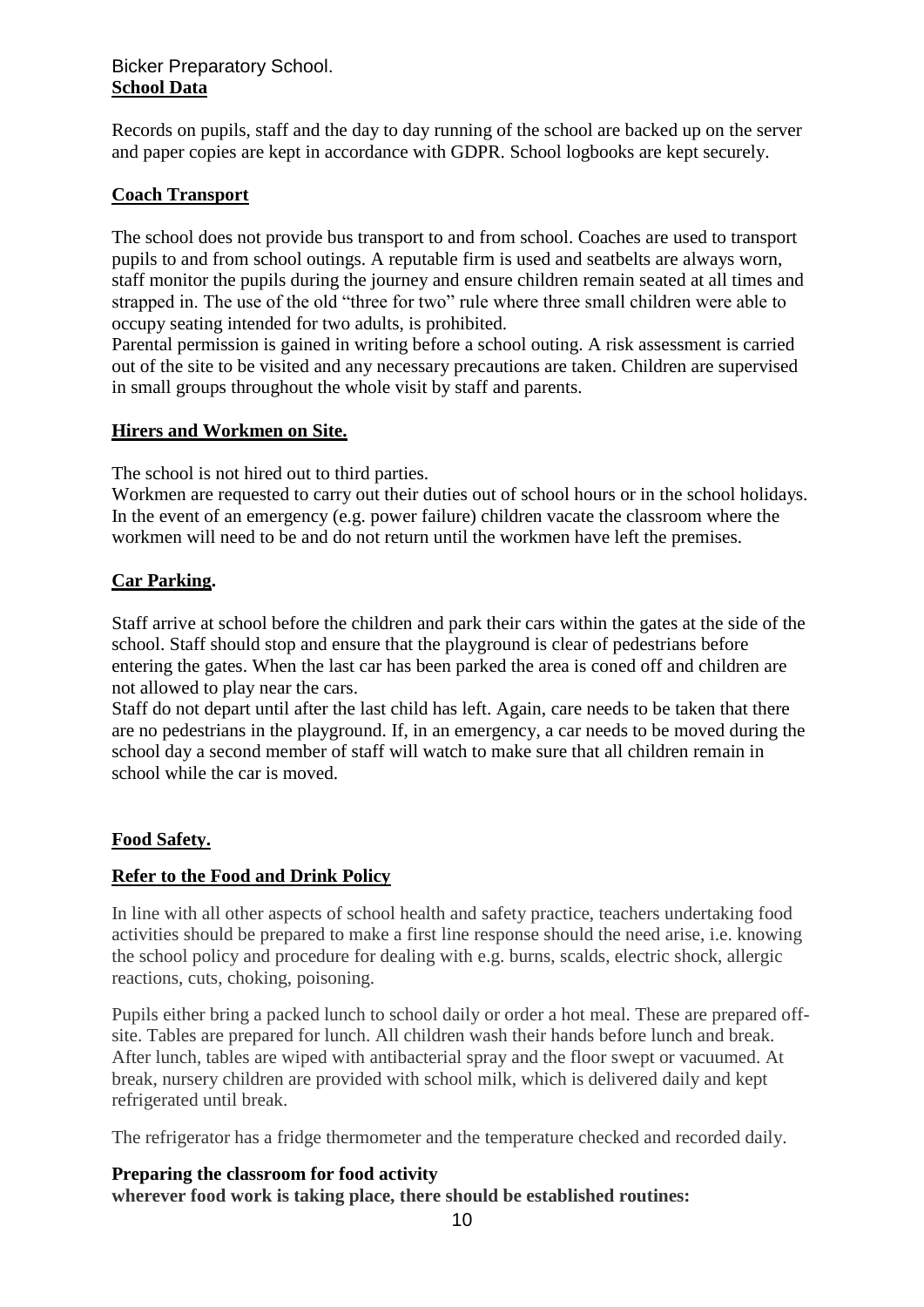## Bicker Preparatory School. **School Data**

Records on pupils, staff and the day to day running of the school are backed up on the server and paper copies are kept in accordance with GDPR. School logbooks are kept securely.

## **Coach Transport**

The school does not provide bus transport to and from school. Coaches are used to transport pupils to and from school outings. A reputable firm is used and seatbelts are always worn, staff monitor the pupils during the journey and ensure children remain seated at all times and strapped in. The use of the old "three for two" rule where three small children were able to occupy seating intended for two adults, is prohibited.

Parental permission is gained in writing before a school outing. A risk assessment is carried out of the site to be visited and any necessary precautions are taken. Children are supervised in small groups throughout the whole visit by staff and parents.

## **Hirers and Workmen on Site.**

The school is not hired out to third parties.

Workmen are requested to carry out their duties out of school hours or in the school holidays. In the event of an emergency (e.g. power failure) children vacate the classroom where the workmen will need to be and do not return until the workmen have left the premises.

## **Car Parking.**

Staff arrive at school before the children and park their cars within the gates at the side of the school. Staff should stop and ensure that the playground is clear of pedestrians before entering the gates. When the last car has been parked the area is coned off and children are not allowed to play near the cars.

Staff do not depart until after the last child has left. Again, care needs to be taken that there are no pedestrians in the playground. If, in an emergency, a car needs to be moved during the school day a second member of staff will watch to make sure that all children remain in school while the car is moved.

## **Food Safety.**

## **Refer to the Food and Drink Policy**

In line with all other aspects of school health and safety practice, teachers undertaking food activities should be prepared to make a first line response should the need arise, i.e. knowing the school policy and procedure for dealing with e.g. burns, scalds, electric shock, allergic reactions, cuts, choking, poisoning.

Pupils either bring a packed lunch to school daily or order a hot meal. These are prepared offsite. Tables are prepared for lunch. All children wash their hands before lunch and break. After lunch, tables are wiped with antibacterial spray and the floor swept or vacuumed. At break, nursery children are provided with school milk, which is delivered daily and kept refrigerated until break.

The refrigerator has a fridge thermometer and the temperature checked and recorded daily.

# **Preparing the classroom for food activity**

**wherever food work is taking place, there should be established routines:**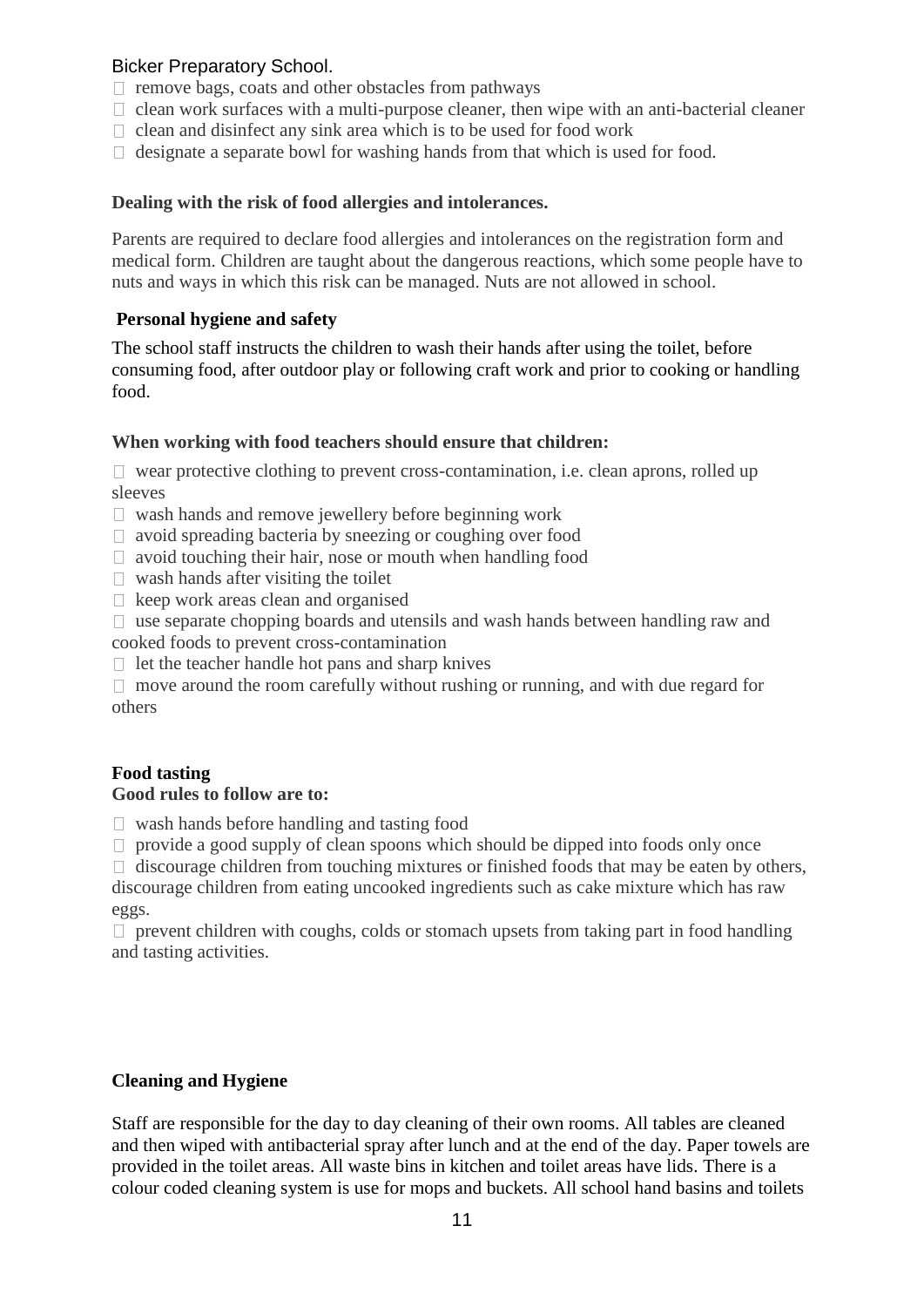- $\Box$  remove bags, coats and other obstacles from pathways
- $\Box$  clean work surfaces with a multi-purpose cleaner, then wipe with an anti-bacterial cleaner
- $\Box$  clean and disinfect any sink area which is to be used for food work
- $\Box$  designate a separate bowl for washing hands from that which is used for food.

#### **Dealing with the risk of food allergies and intolerances.**

Parents are required to declare food allergies and intolerances on the registration form and medical form. Children are taught about the dangerous reactions, which some people have to nuts and ways in which this risk can be managed. Nuts are not allowed in school.

#### **Personal hygiene and safety**

The school staff instructs the children to wash their hands after using the toilet, before consuming food, after outdoor play or following craft work and prior to cooking or handling food.

#### **When working with food teachers should ensure that children:**

 $\Box$  wear protective clothing to prevent cross-contamination, i.e. clean aprons, rolled up sleeves

- $\Box$  wash hands and remove jewellery before beginning work
- $\Box$  avoid spreading bacteria by sneezing or coughing over food
- $\Box$  avoid touching their hair, nose or mouth when handling food
- $\Box$  wash hands after visiting the toilet
- $\Box$  keep work areas clean and organised
- $\Box$  use separate chopping boards and utensils and wash hands between handling raw and cooked foods to prevent cross-contamination
- $\Box$  let the teacher handle hot pans and sharp knives
- $\Box$  move around the room carefully without rushing or running, and with due regard for others

## **Food tasting**

#### **Good rules to follow are to:**

- $\Box$  wash hands before handling and tasting food
- $\Box$  provide a good supply of clean spoons which should be dipped into foods only once

 $\Box$  discourage children from touching mixtures or finished foods that may be eaten by others, discourage children from eating uncooked ingredients such as cake mixture which has raw eggs.

 $\Box$  prevent children with coughs, colds or stomach upsets from taking part in food handling and tasting activities.

## **Cleaning and Hygiene**

Staff are responsible for the day to day cleaning of their own rooms. All tables are cleaned and then wiped with antibacterial spray after lunch and at the end of the day. Paper towels are provided in the toilet areas. All waste bins in kitchen and toilet areas have lids. There is a colour coded cleaning system is use for mops and buckets. All school hand basins and toilets